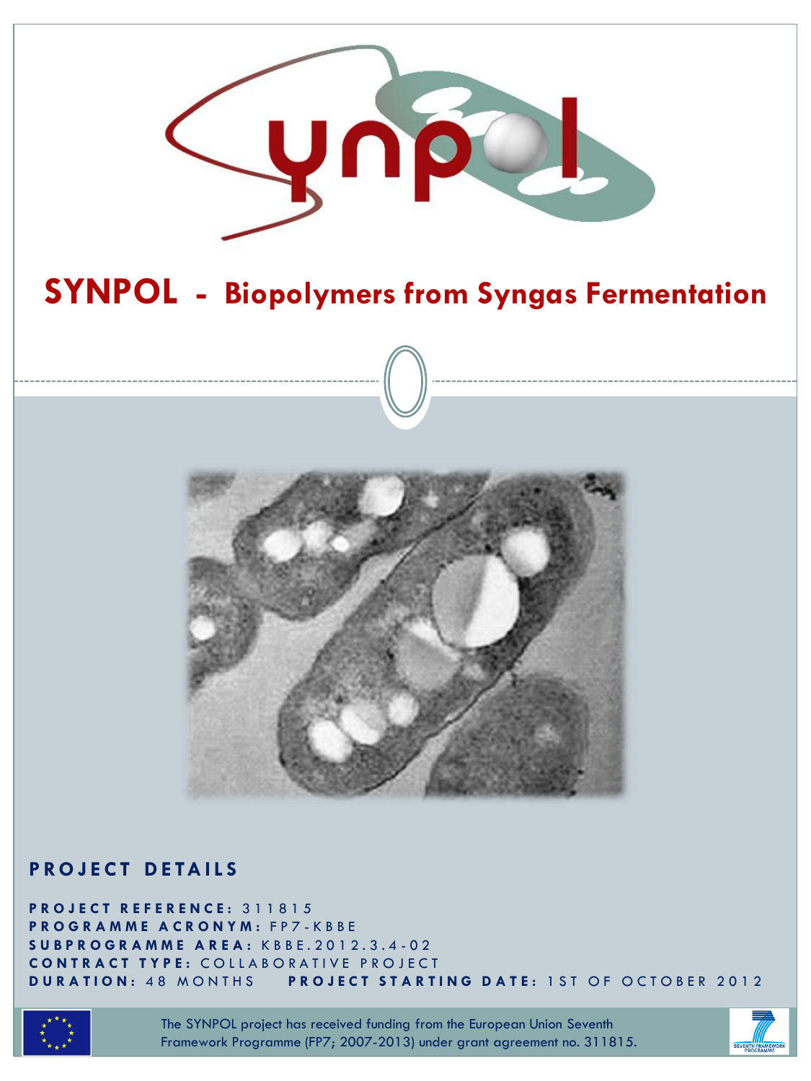

# **SYNPOL - Biopolymers from Syngas Fermentation**



#### **P R O J E C T D E TA I L S**

**P R O J E C T R E F E R E N C E :** 311815 **P R O G R A M M E A C R O N Y M :** F P 7 - K B B E **S U B P R O G R A M M E A R E A :** K B B E . 2 0 1 2 . 3 . 4 - 0 2 **C O N T R A C T T Y P E :** C O L L A B O R A T I V E P R O J E C T **DURATION: 48 MONTHS PROJECT STARTING DATE: 1ST OF OCTOBER 2012** 



The SYNPOL project has received funding from the European Union Seventh Framework Programme (FP7; 2007-2013) under grant agreement no. 311815.

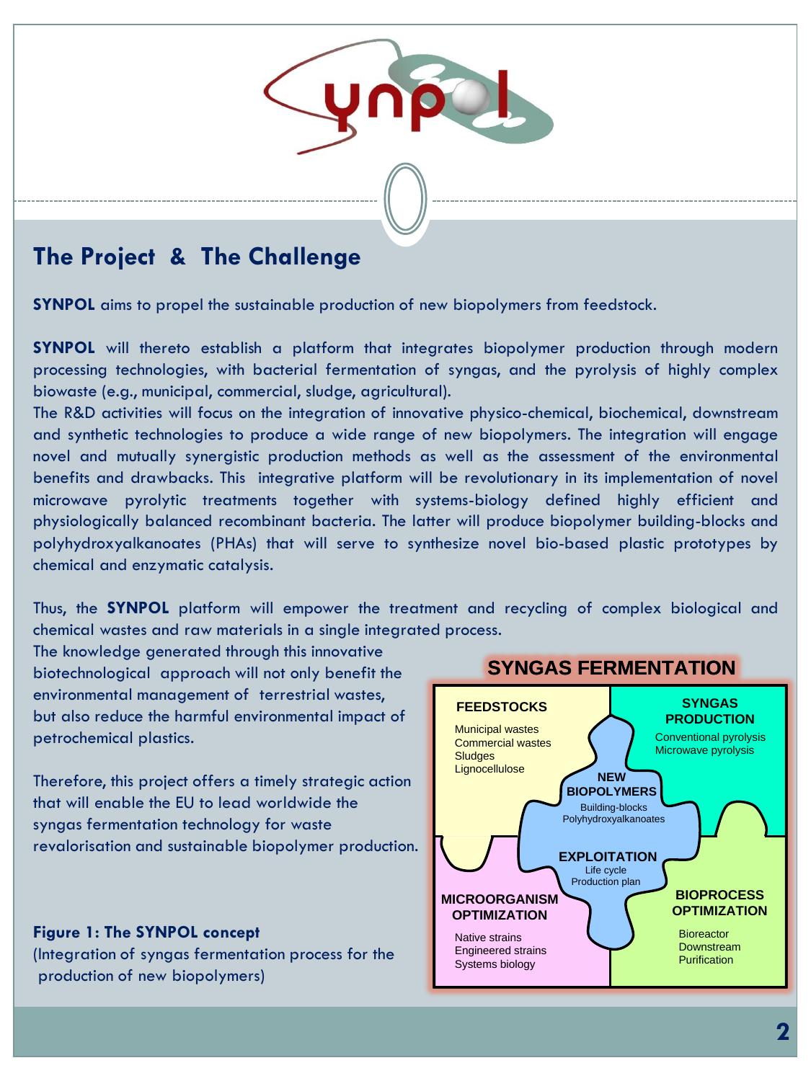

#### **The Project & The Challenge**

**SYNPOL** aims to propel the sustainable production of new biopolymers from feedstock.

**SYNPOL** will thereto establish a platform that integrates biopolymer production through modern processing technologies, with bacterial fermentation of syngas, and the pyrolysis of highly complex biowaste (e.g., municipal, commercial, sludge, agricultural).

The R&D activities will focus on the integration of innovative physico-chemical, biochemical, downstream and synthetic technologies to produce a wide range of new biopolymers. The integration will engage novel and mutually synergistic production methods as well as the assessment of the environmental benefits and drawbacks. This integrative platform will be revolutionary in its implementation of novel microwave pyrolytic treatments together with systems-biology defined highly efficient and physiologically balanced recombinant bacteria. The latter will produce biopolymer building-blocks and polyhydroxyalkanoates (PHAs) that will serve to synthesize novel bio-based plastic prototypes by chemical and enzymatic catalysis.

Thus, the **SYNPOL** platform will empower the treatment and recycling of complex biological and chemical wastes and raw materials in a single integrated process.

The knowledge generated through this innovative biotechnological approach will not only benefit the environmental management of terrestrial wastes, but also reduce the harmful environmental impact of petrochemical plastics.

Therefore, this project offers a timely strategic action that will enable the EU to lead worldwide the syngas fermentation technology for waste revalorisation and sustainable biopolymer production.

**Figure 1: The SYNPOL concept** (Integration of syngas fermentation process for the production of new biopolymers)



#### **SYNGAS FERMENTATION**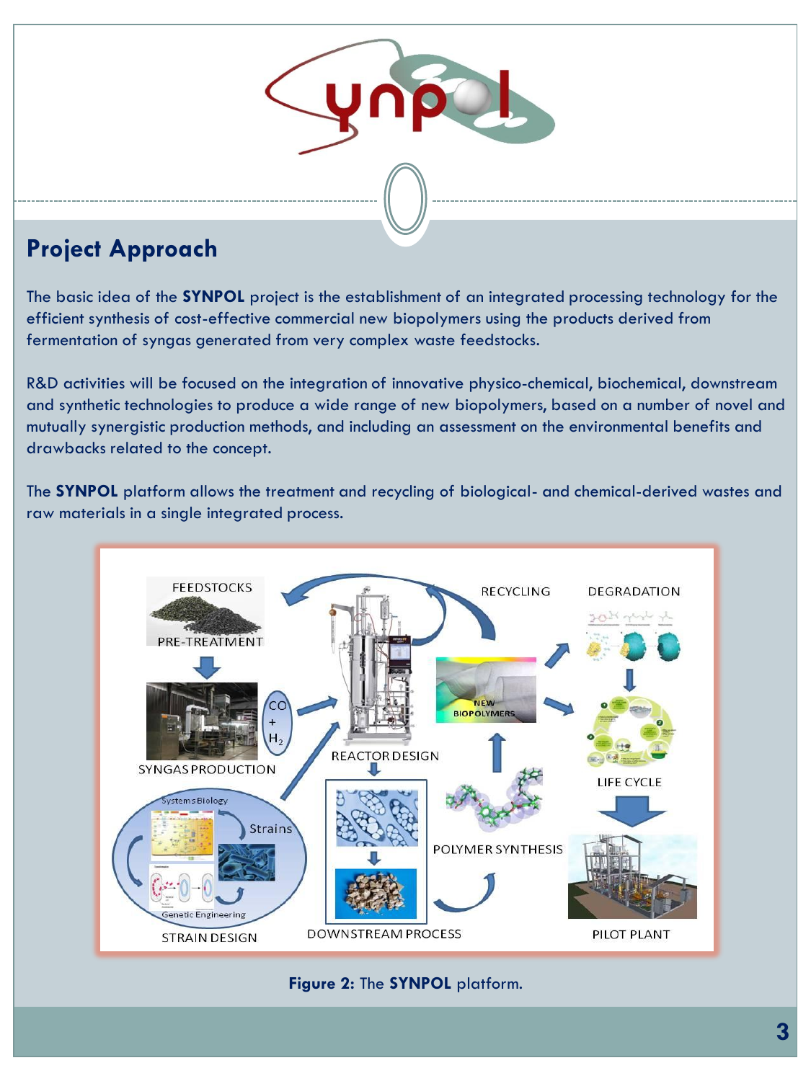

The basic idea of the **SYNPOL** project is the establishment of an integrated processing technology for the efficient synthesis of cost-effective commercial new biopolymers using the products derived from fermentation of syngas generated from very complex waste feedstocks.

R&D activities will be focused on the integration of innovative physico-chemical, biochemical, downstream and synthetic technologies to produce a wide range of new biopolymers, based on a number of novel and mutually synergistic production methods, and including an assessment on the environmental benefits and drawbacks related to the concept.

The **SYNPOL** platform allows the treatment and recycling of biological- and chemical-derived wastes and raw materials in a single integrated process.



**Figure 2:** The **SYNPOL** platform.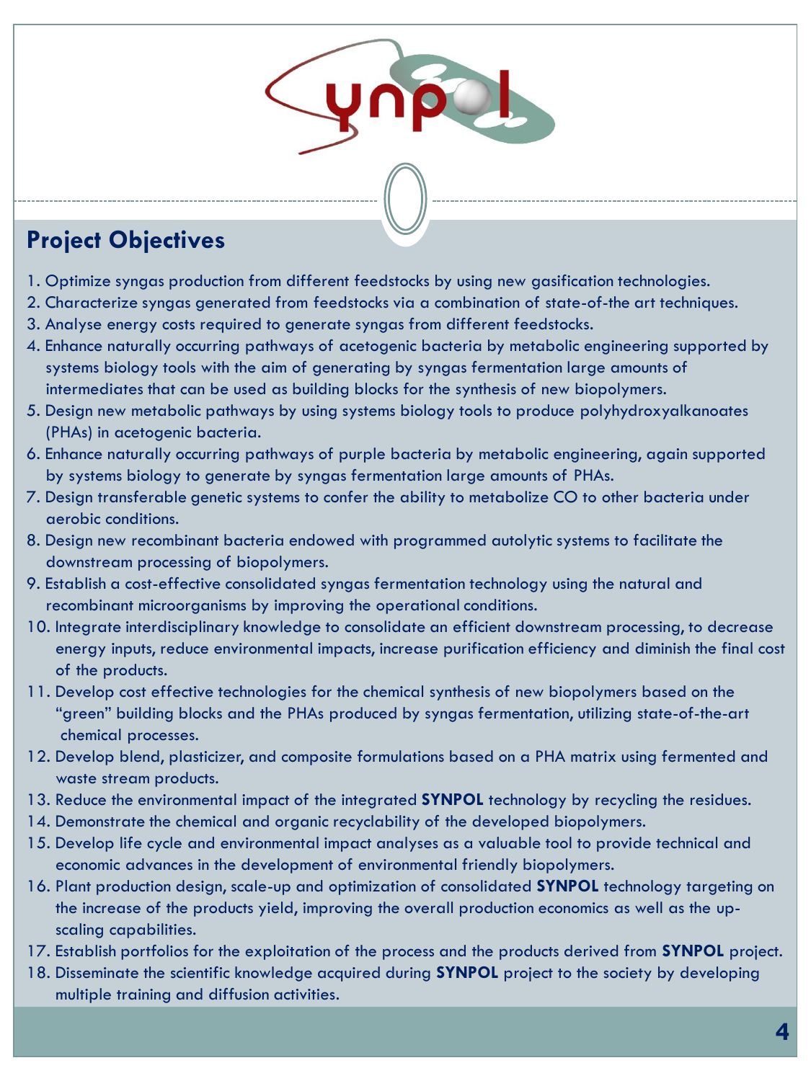### **Project Objectives**

- 1. Optimize syngas production from different feedstocks by using new gasification technologies.
- 2. Characterize syngas generated from feedstocks via a combination of state-of-the art techniques.
- 3. Analyse energy costs required to generate syngas from different feedstocks.
- 4. Enhance naturally occurring pathways of acetogenic bacteria by metabolic engineering supported by systems biology tools with the aim of generating by syngas fermentation large amounts of intermediates that can be used as building blocks for the synthesis of new biopolymers.
- 5. Design new metabolic pathways by using systems biology tools to produce polyhydroxyalkanoates (PHAs) in acetogenic bacteria.
- 6. Enhance naturally occurring pathways of purple bacteria by metabolic engineering, again supported by systems biology to generate by syngas fermentation large amounts of PHAs.
- 7. Design transferable genetic systems to confer the ability to metabolize CO to other bacteria under aerobic conditions.
- 8. Design new recombinant bacteria endowed with programmed autolytic systems to facilitate the downstream processing of biopolymers.
- 9. Establish a cost-effective consolidated syngas fermentation technology using the natural and recombinant microorganisms by improving the operational conditions.
- 10. Integrate interdisciplinary knowledge to consolidate an efficient downstream processing, to decrease energy inputs, reduce environmental impacts, increase purification efficiency and diminish the final cost of the products.
- 11. Develop cost effective technologies for the chemical synthesis of new biopolymers based on the "green" building blocks and the PHAs produced by syngas fermentation, utilizing state-of-the-art chemical processes.
- 12. Develop blend, plasticizer, and composite formulations based on a PHA matrix using fermented and waste stream products.
- 13. Reduce the environmental impact of the integrated **SYNPOL** technology by recycling the residues.
- 14. Demonstrate the chemical and organic recyclability of the developed biopolymers.
- 15. Develop life cycle and environmental impact analyses as a valuable tool to provide technical and economic advances in the development of environmental friendly biopolymers.
- 16. Plant production design, scale-up and optimization of consolidated **SYNPOL** technology targeting on the increase of the products yield, improving the overall production economics as well as the up scaling capabilities.
- 17. Establish portfolios for the exploitation of the process and the products derived from **SYNPOL** project.
- 18. Disseminate the scientific knowledge acquired during **SYNPOL** project to the society by developing multiple training and diffusion activities.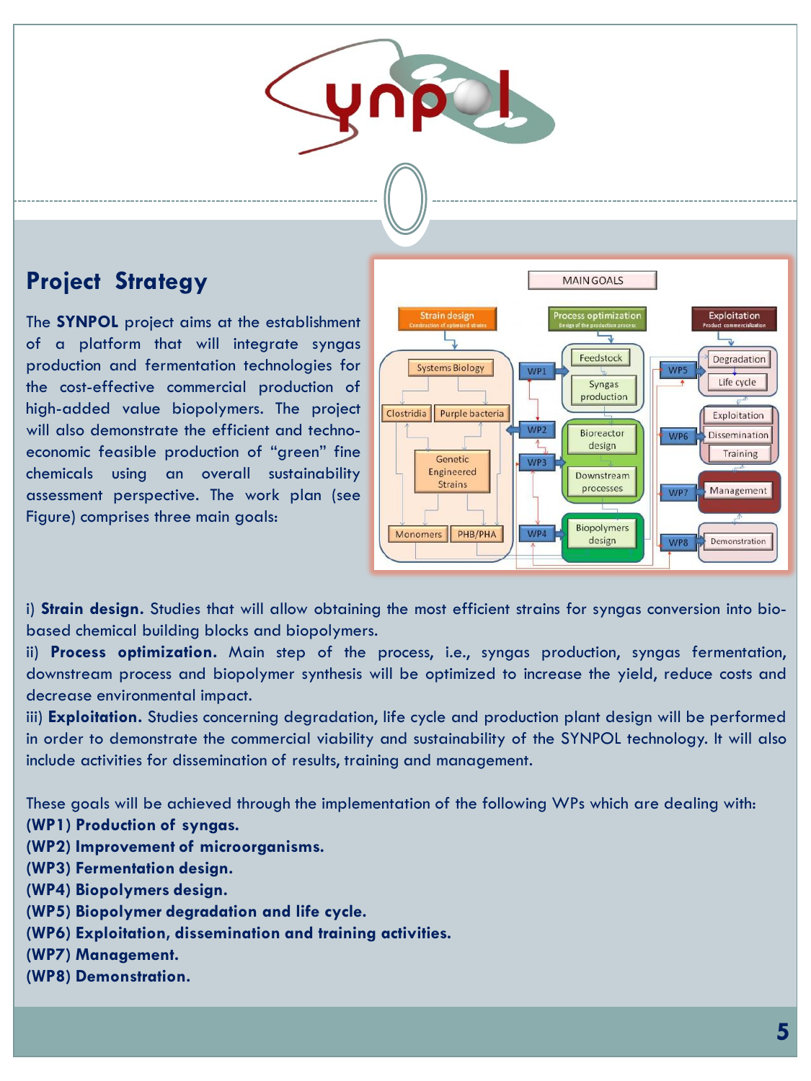

#### **Project Strategy**

The **SYNPOL** project aims at the establishment of a platform that will integrate syngas production and fermentation technologies for the cost-effective commercial production of high-added value biopolymers. The project will also demonstrate the efficient and technoeconomic feasible production of "green" fine chemicals using an overall sustainability assessment perspective. The work plan (see Figure) comprises three main goals:



i) **Strain design.** Studies that will allow obtaining the most efficient strains for syngas conversion into biobased chemical building blocks and biopolymers.

ii) **Process optimization.** Main step of the process, i.e., syngas production, syngas fermentation, downstream process and biopolymer synthesis will be optimized to increase the yield, reduce costs and decrease environmental impact.

iii) **Exploitation.** Studies concerning degradation, life cycle and production plant design will be performed in order to demonstrate the commercial viability and sustainability of the SYNPOL technology. It will also include activities for dissemination of results, training and management.

These goals will be achieved through the implementation of the following WPs which are dealing with: **(WP1) Production of syngas.**

- **(WP2) Improvement of microorganisms.**
- **(WP3) Fermentation design.**
- **(WP4) Biopolymers design.**
- **(WP5) Biopolymer degradation and life cycle.**
- **(WP6) Exploitation, dissemination and training activities.**
- **(WP7) Management.**
- **(WP8) Demonstration.**